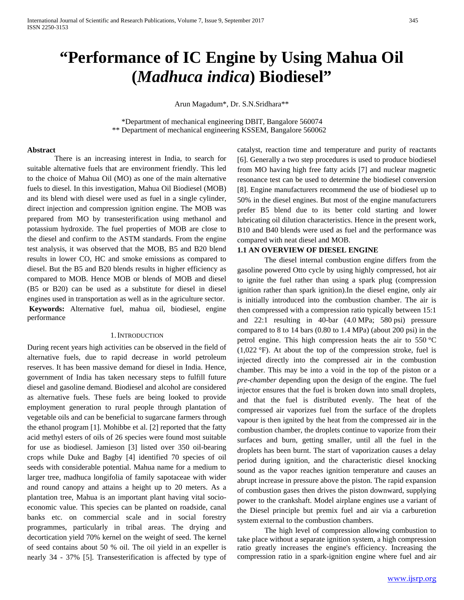# **"Performance of IC Engine by Using Mahua Oil (***Madhuca indica***) Biodiesel"**

Arun Magadum\*, Dr. S.N.Sridhara\*\*

 \*Department of mechanical engineering DBIT, Bangalore 560074 \*\* Department of mechanical engineering KSSEM, Bangalore 560062

#### **Abstract**

There is an increasing interest in India, to search for suitable alternative fuels that are environment friendly. This led to the choice of Mahua Oil (MO) as one of the main alternative fuels to diesel. In this investigation, Mahua Oil Biodiesel (MOB) and its blend with diesel were used as fuel in a single cylinder, direct injection and compression ignition engine. The MOB was prepared from MO by transesterification using methanol and potassium hydroxide. The fuel properties of MOB are close to the diesel and confirm to the ASTM standards. From the engine test analysis, it was observed that the MOB, B5 and B20 blend results in lower CO, HC and smoke emissions as compared to diesel. But the B5 and B20 blends results in higher efficiency as compared to MOB. Hence MOB or blends of MOB and diesel (B5 or B20) can be used as a substitute for diesel in diesel engines used in transportation as well as in the agriculture sector. **Keywords:** Alternative fuel, mahua oil, biodiesel, engine performance

#### 1.INTRODUCTION

During recent years high activities can be observed in the field of alternative fuels, due to rapid decrease in world petroleum reserves. It has been massive demand for diesel in India. Hence, government of India has taken necessary steps to fulfill future diesel and gasoline demand. Biodiesel and alcohol are considered as alternative fuels. These fuels are being looked to provide employment generation to rural people through plantation of vegetable oils and can be beneficial to sugarcane farmers through the ethanol program [1]. Mohibbe et al. [2] reported that the fatty acid methyl esters of oils of 26 species were found most suitable for use as biodiesel. Jamieson [3] listed over 350 oil-bearing crops while Duke and Bagby [4] identified 70 species of oil seeds with considerable potential. Mahua name for a medium to larger tree, madhuca longifolia of family sapotaceae with wider and round canopy and attains a height up to 20 meters. As a plantation tree, Mahua is an important plant having vital socioeconomic value. This species can be planted on roadside, canal banks etc. on commercial scale and in social forestry programmes, particularly in tribal areas. The drying and decortication yield 70% kernel on the weight of seed. The kernel of seed contains about 50 % oil. The oil yield in an expeller is nearly 34 - 37% [5]. Transesterification is affected by type of

catalyst, reaction time and temperature and purity of reactants [6]. Generally a two step procedures is used to produce biodiesel from MO having high free fatty acids [7] and nuclear magnetic resonance test can be used to determine the biodiesel conversion [8]. Engine manufacturers recommend the use of biodiesel up to 50% in the diesel engines. But most of the engine manufacturers prefer B5 blend due to its better cold starting and lower lubricating oil dilution characteristics. Hence in the present work, B10 and B40 blends were used as fuel and the performance was compared with neat diesel and MOB.

#### **1.1 AN OVERVIEW OF DIESEL ENGINE**

The diesel internal combustion engine differs from the gasoline powered Otto cycle by using highly compressed, hot air to ignite the fuel rather than using a spark plug (compression ignition rather than spark ignition).In the diesel engine, only air is initially introduced into the combustion chamber. The air is then compressed with a compression ratio typically between 15:1 and 22:1 resulting in 40-bar (4.0 MPa; 580 psi) pressure compared to 8 to 14 bars (0.80 to 1.4 MPa) (about 200 psi) in the petrol engine. This high compression heats the air to 550 °C (1,022 °F). At about the top of the compression stroke, fuel is injected directly into the compressed air in the combustion chamber. This may be into a void in the top of the piston or a *pre-chamber* depending upon the design of the engine. The fuel injector ensures that the fuel is broken down into small droplets, and that the fuel is distributed evenly. The heat of the compressed air vaporizes fuel from the surface of the droplets vapour is then ignited by the heat from the compressed air in the combustion chamber, the droplets continue to vaporize from their surfaces and burn, getting smaller, until all the fuel in the droplets has been burnt. The start of vaporization causes a delay period during ignition, and the characteristic diesel knocking sound as the vapor reaches ignition temperature and causes an abrupt increase in pressure above the piston. The rapid expansion of combustion gases then drives the piston downward, supplying power to the crankshaft. Model airplane engines use a variant of the Diesel principle but premix fuel and air via a carburetion system external to the combustion chambers.

The high level of compression allowing combustion to take place without a separate ignition system, a high compression ratio greatly increases the engine's efficiency. Increasing the compression ratio in a spark-ignition engine where fuel and air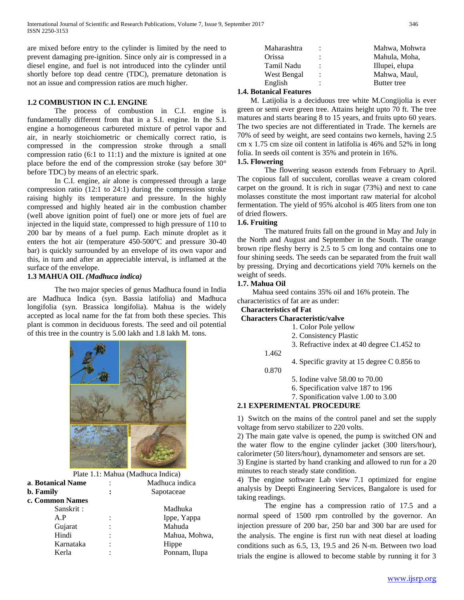are mixed before entry to the cylinder is limited by the need to prevent damaging pre-ignition. Since only air is compressed in a diesel engine, and fuel is not introduced into the cylinder until shortly before top dead centre (TDC), premature detonation is not an issue and compression ratios are much higher.

## **1.2 COMBUSTION IN C.I. ENGINE**

The process of combustion in C.I. engine is fundamentally different from that in a S.I. engine. In the S.I. engine a homogeneous carbureted mixture of petrol vapor and air, in nearly stoichiometric or chemically correct ratio, is compressed in the compression stroke through a small compression ratio (6:1 to 11:1) and the mixture is ignited at one place before the end of the compression stroke (say before 30° before TDC) by means of an electric spark.

In C.I. engine, air alone is compressed through a large compression ratio (12:1 to 24:1) during the compression stroke raising highly its temperature and pressure. In the highly compressed and highly heated air in the combustion chamber (well above ignition point of fuel) one or more jets of fuel are injected in the liquid state, compressed to high pressure of 110 to 200 bar by means of a fuel pump. Each minute droplet as it enters the hot air (temperature 450-500°C and pressure 30-40 bar) is quickly surrounded by an envelope of its own vapor and this, in turn and after an appreciable interval, is inflamed at the surface of the envelope.

#### **1.3 MAHUA OIL** *(Madhuca indica)*

The two major species of genus Madhuca found in India are Madhuca Indica (syn. Bassia latifolia) and Madhuca longifolia (syn. Brassica longifolia). Mahua is the widely accepted as local name for the fat from both these species. This plant is common in deciduous forests. The seed and oil potential of this tree in the country is 5.00 lakh and 1.8 lakh M. tons.



Plate 1.1: Mahua (Madhuca Indica)

| a. Botanical Name |                      | Madhuca indica |
|-------------------|----------------------|----------------|
| <b>b.</b> Family  |                      | Sapotaceae     |
| c. Common Names   |                      |                |
| Sanskrit:         |                      | Madhuka        |
| A.P               |                      | Ippe, Yappa    |
| Gujarat           |                      | Mahuda         |
| Hindi             | $\ddot{\phantom{a}}$ | Mahua, Mohwa,  |
| Karnataka         |                      | Hippe          |
| Kerla             |                      | Ponnam, Ilupa  |

| Maharashtra     |                | Mahwa, Mohwra  |
|-----------------|----------------|----------------|
| Orissa          | $\ddot{\cdot}$ | Mahula, Moha,  |
| Tamil Nadu      | ÷              | Illupei, elupa |
| West Bengal     | $\ddot{\cdot}$ | Mahwa, Maul,   |
| English         | $\ddot{\cdot}$ | Butter tree    |
| $\cdot$ $\cdot$ |                |                |

## **1.4. Botanical Features**

 M. Latijolia is a deciduous tree white M.Congijolia is ever green or semi ever green tree. Attains height upto 70 ft. The tree matures and starts bearing 8 to 15 years, and fruits upto 60 years. The two species are not differentiated in Trade. The kernels are 70% of seed by weight, are seed contains two kernels, having 2.5 cm x 1.75 cm size oil content in latifolia is 46% and 52% in long folia. In seeds oil content is 35% and protein in 16%.

#### **1.5. Flowering**

The flowering season extends from February to April. The copious fall of succulent, corollas weave a cream colored carpet on the ground. It is rich in sugar (73%) and next to cane molasses constitute the most important raw material for alcohol fermentation. The yield of 95% alcohol is 405 liters from one ton of dried flowers.

#### **1.6. Fruiting**

The matured fruits fall on the ground in May and July in the North and August and September in the South. The orange brown ripe fleshy berry is 2.5 to 5 cm long and contains one to four shining seeds. The seeds can be separated from the fruit wall by pressing. Drying and decortications yield 70% kernels on the weight of seeds.

#### **1.7. Mahua Oil**

 Mahua seed contains 35% oil and 16% protein. The characteristics of fat are as under:

## **Characteristics of Fat**

#### **Characters Characteristic/valve**

- 1. Color Pole yellow
- 2. Consistency Plastic
- 3. Refractive index at 40 degree C1.452 to
- 1.462
- 4. Specific gravity at 15 degree C 0.856 to 0.870
	- 5. Iodine valve 58.00 to 70.00
	- 6. Specification valve 187 to 196
	- 7. Sponification valve 1.00 to 3.00

## **2.1 EXPERIMENTAL PROCEDURE**

1) Switch on the mains of the control panel and set the supply voltage from servo stabilizer to 220 volts.

2) The main gate valve is opened, the pump is switched ON and the water flow to the engine cylinder jacket (300 liters/hour), calorimeter (50 liters/hour), dynamometer and sensors are set.

3) Engine is started by hand cranking and allowed to run for a 20 minutes to reach steady state condition.

4) The engine software Lab view 7.1 optimized for engine analysis by Deepti Engineering Services, Bangalore is used for taking readings.

The engine has a compression ratio of 17.5 and a normal speed of 1500 rpm controlled by the governor. An injection pressure of 200 bar, 250 bar and 300 bar are used for the analysis. The engine is first run with neat diesel at loading conditions such as 6.5, 13, 19.5 and 26 N-m. Between two load trials the engine is allowed to become stable by running it for 3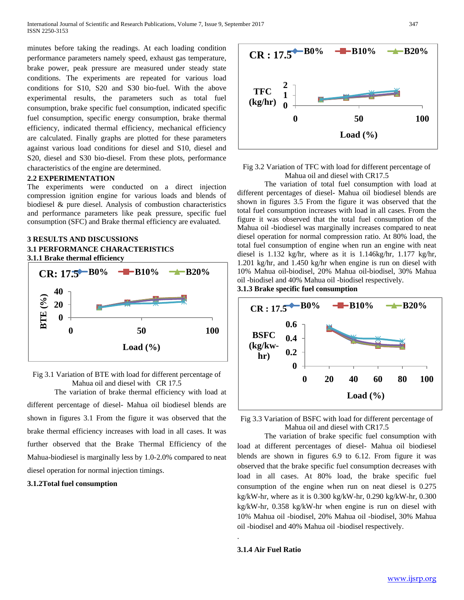minutes before taking the readings. At each loading condition performance parameters namely speed, exhaust gas temperature, brake power, peak pressure are measured under steady state conditions. The experiments are repeated for various load conditions for S10, S20 and S30 bio-fuel. With the above experimental results, the parameters such as total fuel consumption, brake specific fuel consumption, indicated specific fuel consumption, specific energy consumption, brake thermal efficiency, indicated thermal efficiency, mechanical efficiency are calculated. Finally graphs are plotted for these parameters against various load conditions for diesel and S10, diesel and S20, diesel and S30 bio-diesel. From these plots, performance characteristics of the engine are determined.

#### **2.2 EXPERIMENTATION**

The experiments were conducted on a direct injection compression ignition engine for various loads and blends of biodiesel & pure diesel. Analysis of combustion characteristics and performance parameters like peak pressure, specific fuel consumption (SFC) and Brake thermal efficiency are evaluated.

## **3 RESULTS AND DISCUSSIONS 3.1 PERFORMANCE CHARACTERISTICS 3.1.1 Brake thermal efficiency**



Fig 3.1 Variation of BTE with load for different percentage of Mahua oil and diesel with CR 17.5

The variation of brake thermal efficiency with load at different percentage of diesel- Mahua oil biodiesel blends are shown in figures 3.1 From the figure it was observed that the brake thermal efficiency increases with load in all cases. It was further observed that the Brake Thermal Efficiency of the Mahua-biodiesel is marginally less by 1.0-2.0% compared to neat diesel operation for normal injection timings.

#### **3.1.2Total fuel consumption**



## Fig 3.2 Variation of TFC with load for different percentage of Mahua oil and diesel with CR17.5

The variation of total fuel consumption with load at different percentages of diesel- Mahua oil biodiesel blends are shown in figures 3.5 From the figure it was observed that the total fuel consumption increases with load in all cases. From the figure it was observed that the total fuel consumption of the Mahua oil -biodiesel was marginally increases compared to neat diesel operation for normal compression ratio. At 80% load, the total fuel consumption of engine when run an engine with neat diesel is 1.132 kg/hr, where as it is 1.146kg/hr, 1.177 kg/hr, 1.201 kg/hr, and 1.450 kg/hr when engine is run on diesel with 10% Mahua oil-biodisel, 20% Mahua oil-biodisel, 30% Mahua oil -biodisel and 40% Mahua oil -biodisel respectively.

## **3.1.3 Brake specific fuel consumption**



Fig 3.3 Variation of BSFC with load for different percentage of Mahua oil and diesel with CR17.5

The variation of brake specific fuel consumption with load at different percentages of diesel- Mahua oil biodiesel blends are shown in figures 6.9 to 6.12. From figure it was observed that the brake specific fuel consumption decreases with load in all cases. At 80% load, the brake specific fuel consumption of the engine when run on neat diesel is 0.275 kg/kW-hr, where as it is 0.300 kg/kW-hr, 0.290 kg/kW-hr, 0.300 kg/kW-hr, 0.358 kg/kW-hr when engine is run on diesel with 10% Mahua oil -biodisel, 20% Mahua oil -biodisel, 30% Mahua oil -biodisel and 40% Mahua oil -biodisel respectively.

#### **3.1.4 Air Fuel Ratio**

.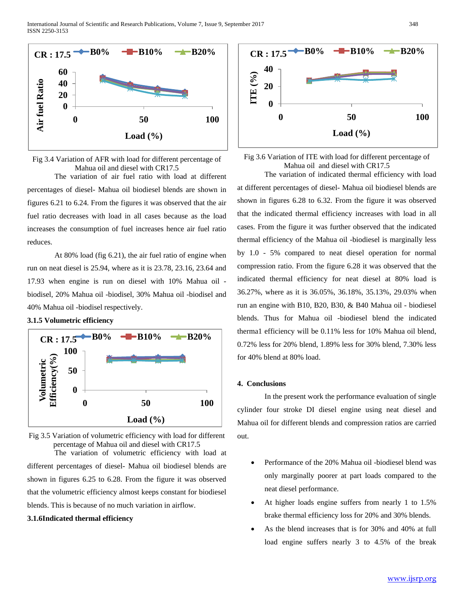

Fig 3.4 Variation of AFR with load for different percentage of Mahua oil and diesel with CR17.5

The variation of air fuel ratio with load at different percentages of diesel- Mahua oil biodiesel blends are shown in figures 6.21 to 6.24. From the figures it was observed that the air fuel ratio decreases with load in all cases because as the load increases the consumption of fuel increases hence air fuel ratio reduces.

At 80% load (fig 6.21), the air fuel ratio of engine when run on neat diesel is 25.94, where as it is 23.78, 23.16, 23.64 and 17.93 when engine is run on diesel with 10% Mahua oil biodisel, 20% Mahua oil -biodisel, 30% Mahua oil -biodisel and 40% Mahua oil -biodisel respectively.

#### **3.1.5 Volumetric efficiency**



Fig 3.5 Variation of volumetric efficiency with load for different percentage of Mahua oil and diesel with CR17.5

The variation of volumetric efficiency with load at different percentages of diesel- Mahua oil biodiesel blends are shown in figures 6.25 to 6.28. From the figure it was observed that the volumetric efficiency almost keeps constant for biodiesel blends. This is because of no much variation in airflow.

#### **3.1.6Indicated thermal efficiency**



Fig 3.6 Variation of ITE with load for different percentage of Mahua oil and diesel with CR17.5 The variation of indicated thermal efficiency with load

at different percentages of diesel- Mahua oil biodiesel blends are shown in figures 6.28 to 6.32. From the figure it was observed that the indicated thermal efficiency increases with load in all cases. From the figure it was further observed that the indicated thermal efficiency of the Mahua oil -biodiesel is marginally less by 1.0 - 5% compared to neat diesel operation for normal compression ratio. From the figure 6.28 it was observed that the indicated thermal efficiency for neat diesel at 80% load is 36.27%, where as it is 36.05%, 36.18%, 35.13%, 29.03% when run an engine with B10, B20, B30, & B40 Mahua oil - biodiesel blends. Thus for Mahua oil -biodiesel blend the indicated therma1 efficiency will be 0.11% less for 10% Mahua oil blend, 0.72% less for 20% blend, 1.89% less for 30% blend, 7.30% less for 40% blend at 80% load.

#### **4. Conclusions**

In the present work the performance evaluation of single cylinder four stroke DI diesel engine using neat diesel and Mahua oil for different blends and compression ratios are carried out.

- Performance of the 20% Mahua oil -biodiesel blend was only marginally poorer at part loads compared to the neat diesel performance.
- At higher loads engine suffers from nearly 1 to 1.5% brake thermal efficiency loss for 20% and 30% blends.
- As the blend increases that is for 30% and 40% at full load engine suffers nearly 3 to 4.5% of the break